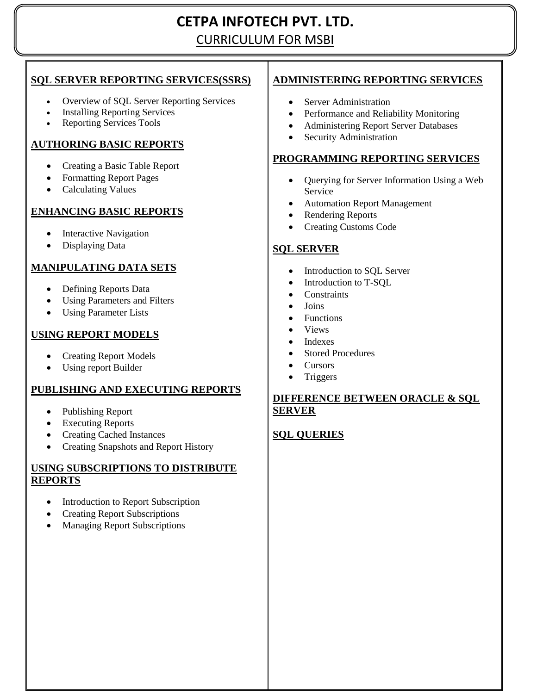# **CETPA INFOTECH PVT. LTD.** CURRICULUM FOR MSBI

# **SQL SERVER REPORTING SERVICES(SSRS)**

- Overview of SQL Server Reporting Services
- Installing Reporting Services
- Reporting Services Tools

# **AUTHORING BASIC REPORTS**

- Creating a Basic Table Report
- Formatting Report Pages
- Calculating Values

# **ENHANCING BASIC REPORTS**

- Interactive Navigation
- Displaying Data

# **MANIPULATING DATA SETS**

- Defining Reports Data
- Using Parameters and Filters
- Using Parameter Lists

# **USING REPORT MODELS**

- Creating Report Models
- Using report Builder

## **PUBLISHING AND EXECUTING REPORTS**

- Publishing Report
- Executing Reports
- Creating Cached Instances
- Creating Snapshots and Report History

#### **USING SUBSCRIPTIONS TO DISTRIBUTE REPORTS**

- Introduction to Report Subscription
- Creating Report Subscriptions
- Managing Report Subscriptions

# **ADMINISTERING REPORTING SERVICES**

- Server Administration
- Performance and Reliability Monitoring
- Administering Report Server Databases
- Security Administration

## **PROGRAMMING REPORTING SERVICES**

- Querying for Server Information Using a Web Service
- Automation Report Management
- Rendering Reports
- Creating Customs Code

# **SQL SERVER**

- Introduction to SQL Server
- Introduction to T-SQL
- **Constraints**
- Joins
- Functions
- Views
- Indexes
- Stored Procedures
- Cursors
- Triggers

## **DIFFERENCE BETWEEN ORACLE & SQL SERVER**

## **SQL QUERIES**